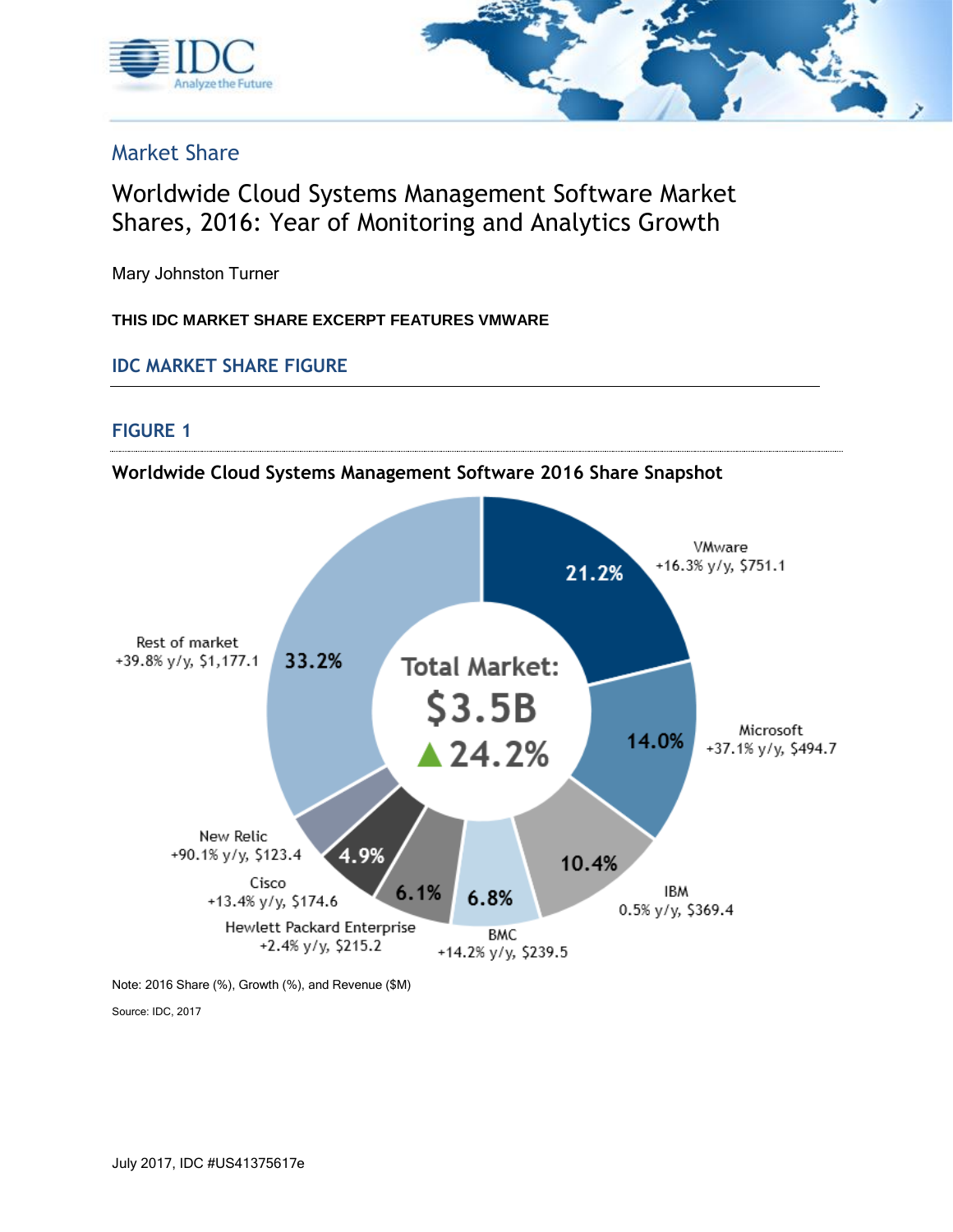



# Market Share

# Worldwide Cloud Systems Management Software Market Shares, 2016: Year of Monitoring and Analytics Growth

Mary Johnston Turner

**THIS IDC MARKET SHARE EXCERPT FEATURES VMWARE**

**IDC MARKET SHARE FIGURE**

### **FIGURE 1**

### **Worldwide Cloud Systems Management Software 2016 Share Snapshot**



Note: 2016 Share (%), Growth (%), and Revenue (\$M)

Source: IDC, 2017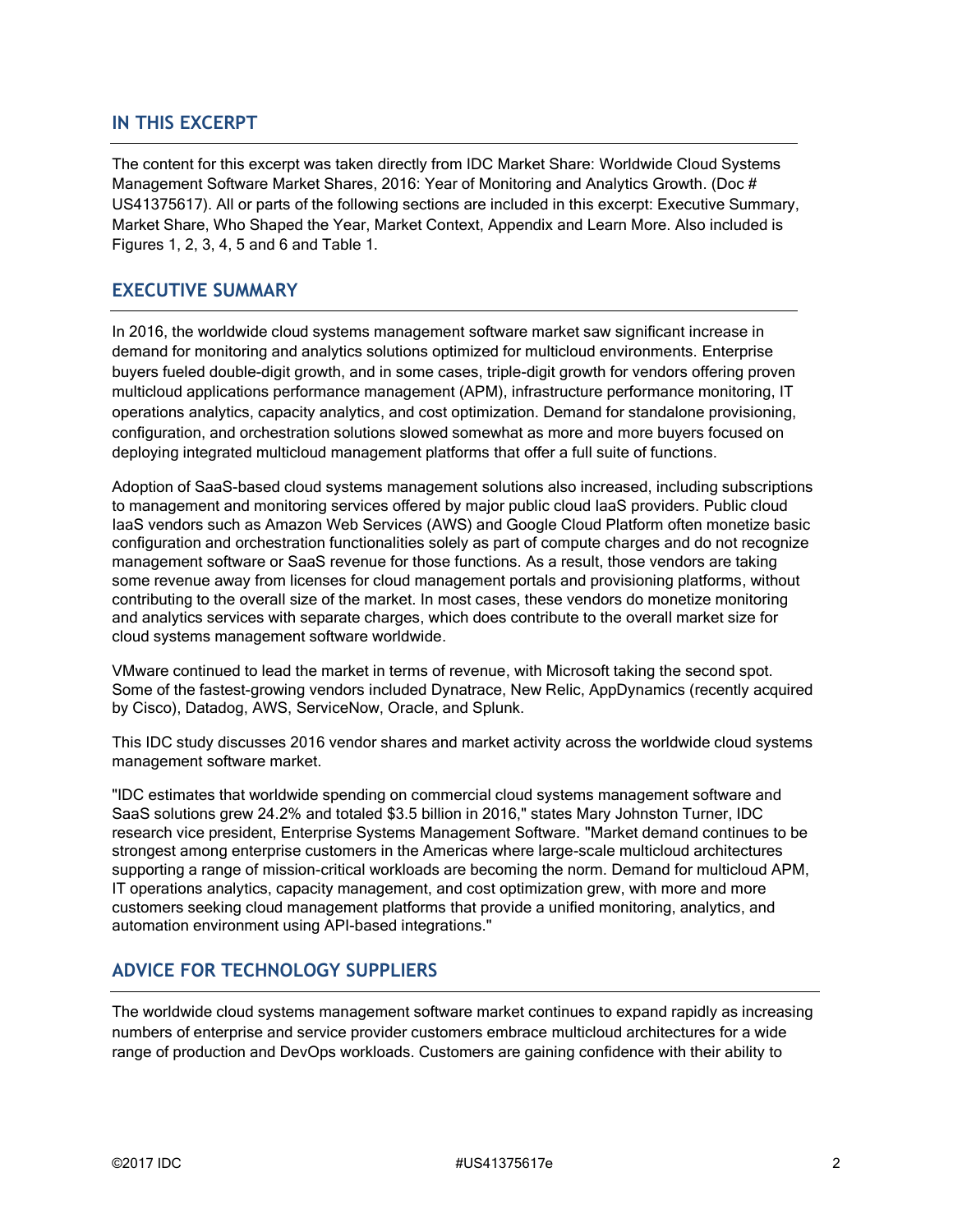#### **IN THIS EXCERPT**

The content for this excerpt was taken directly from IDC Market Share: Worldwide Cloud Systems Management Software Market Shares, 2016: Year of Monitoring and Analytics Growth. (Doc # US41375617). All or parts of the following sections are included in this excerpt: Executive Summary, Market Share, Who Shaped the Year, Market Context, Appendix and Learn More. Also included is Figures 1, 2, 3, 4, 5 and 6 and Table 1.

#### **EXECUTIVE SUMMARY**

In 2016, the worldwide cloud systems management software market saw significant increase in demand for monitoring and analytics solutions optimized for multicloud environments. Enterprise buyers fueled double-digit growth, and in some cases, triple-digit growth for vendors offering proven multicloud applications performance management (APM), infrastructure performance monitoring, IT operations analytics, capacity analytics, and cost optimization. Demand for standalone provisioning, configuration, and orchestration solutions slowed somewhat as more and more buyers focused on deploying integrated multicloud management platforms that offer a full suite of functions.

Adoption of SaaS-based cloud systems management solutions also increased, including subscriptions to management and monitoring services offered by major public cloud IaaS providers. Public cloud IaaS vendors such as Amazon Web Services (AWS) and Google Cloud Platform often monetize basic configuration and orchestration functionalities solely as part of compute charges and do not recognize management software or SaaS revenue for those functions. As a result, those vendors are taking some revenue away from licenses for cloud management portals and provisioning platforms, without contributing to the overall size of the market. In most cases, these vendors do monetize monitoring and analytics services with separate charges, which does contribute to the overall market size for cloud systems management software worldwide.

VMware continued to lead the market in terms of revenue, with Microsoft taking the second spot. Some of the fastest-growing vendors included Dynatrace, New Relic, AppDynamics (recently acquired by Cisco), Datadog, AWS, ServiceNow, Oracle, and Splunk.

This IDC study discusses 2016 vendor shares and market activity across the worldwide cloud systems management software market.

"IDC estimates that worldwide spending on commercial cloud systems management software and SaaS solutions grew 24.2% and totaled \$3.5 billion in 2016," states Mary Johnston Turner, IDC research vice president, Enterprise Systems Management Software. "Market demand continues to be strongest among enterprise customers in the Americas where large-scale multicloud architectures supporting a range of mission-critical workloads are becoming the norm. Demand for multicloud APM, IT operations analytics, capacity management, and cost optimization grew, with more and more customers seeking cloud management platforms that provide a unified monitoring, analytics, and automation environment using API-based integrations."

### **ADVICE FOR TECHNOLOGY SUPPLIERS**

The worldwide cloud systems management software market continues to expand rapidly as increasing numbers of enterprise and service provider customers embrace multicloud architectures for a wide range of production and DevOps workloads. Customers are gaining confidence with their ability to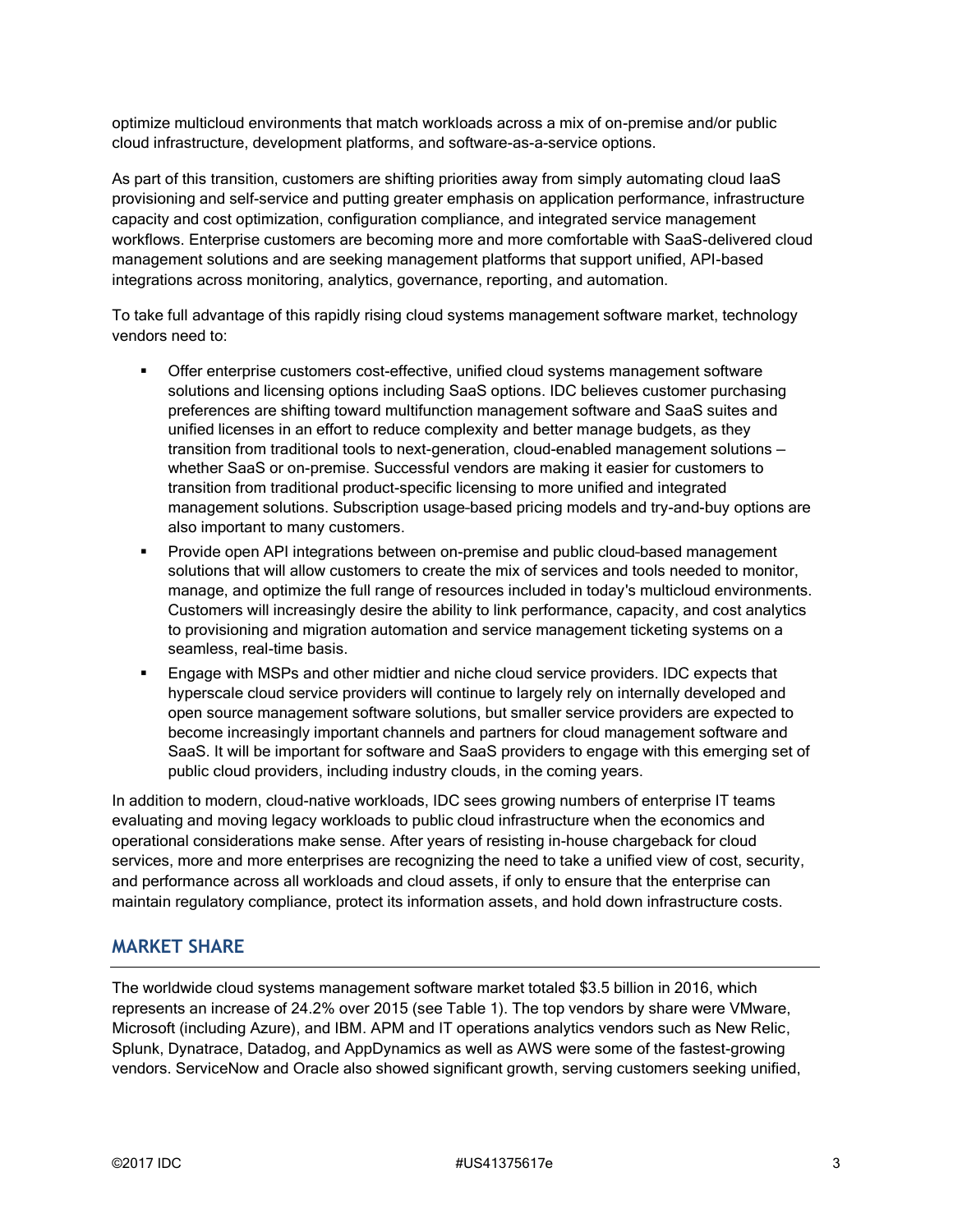optimize multicloud environments that match workloads across a mix of on-premise and/or public cloud infrastructure, development platforms, and software-as-a-service options.

As part of this transition, customers are shifting priorities away from simply automating cloud IaaS provisioning and self-service and putting greater emphasis on application performance, infrastructure capacity and cost optimization, configuration compliance, and integrated service management workflows. Enterprise customers are becoming more and more comfortable with SaaS-delivered cloud management solutions and are seeking management platforms that support unified, API-based integrations across monitoring, analytics, governance, reporting, and automation.

To take full advantage of this rapidly rising cloud systems management software market, technology vendors need to:

- **•** Offer enterprise customers cost-effective, unified cloud systems management software solutions and licensing options including SaaS options. IDC believes customer purchasing preferences are shifting toward multifunction management software and SaaS suites and unified licenses in an effort to reduce complexity and better manage budgets, as they transition from traditional tools to next-generation, cloud-enabled management solutions whether SaaS or on-premise. Successful vendors are making it easier for customers to transition from traditional product-specific licensing to more unified and integrated management solutions. Subscription usage–based pricing models and try-and-buy options are also important to many customers.
- Provide open API integrations between on-premise and public cloud-based management solutions that will allow customers to create the mix of services and tools needed to monitor, manage, and optimize the full range of resources included in today's multicloud environments. Customers will increasingly desire the ability to link performance, capacity, and cost analytics to provisioning and migration automation and service management ticketing systems on a seamless, real-time basis.
- Engage with MSPs and other midtier and niche cloud service providers. IDC expects that hyperscale cloud service providers will continue to largely rely on internally developed and open source management software solutions, but smaller service providers are expected to become increasingly important channels and partners for cloud management software and SaaS. It will be important for software and SaaS providers to engage with this emerging set of public cloud providers, including industry clouds, in the coming years.

In addition to modern, cloud-native workloads, IDC sees growing numbers of enterprise IT teams evaluating and moving legacy workloads to public cloud infrastructure when the economics and operational considerations make sense. After years of resisting in-house chargeback for cloud services, more and more enterprises are recognizing the need to take a unified view of cost, security, and performance across all workloads and cloud assets, if only to ensure that the enterprise can maintain regulatory compliance, protect its information assets, and hold down infrastructure costs.

#### **MARKET SHARE**

The worldwide cloud systems management software market totaled \$3.5 billion in 2016, which represents an increase of 24.2% over 2015 (see Table 1). The top vendors by share were VMware, Microsoft (including Azure), and IBM. APM and IT operations analytics vendors such as New Relic, Splunk, Dynatrace, Datadog, and AppDynamics as well as AWS were some of the fastest-growing vendors. ServiceNow and Oracle also showed significant growth, serving customers seeking unified,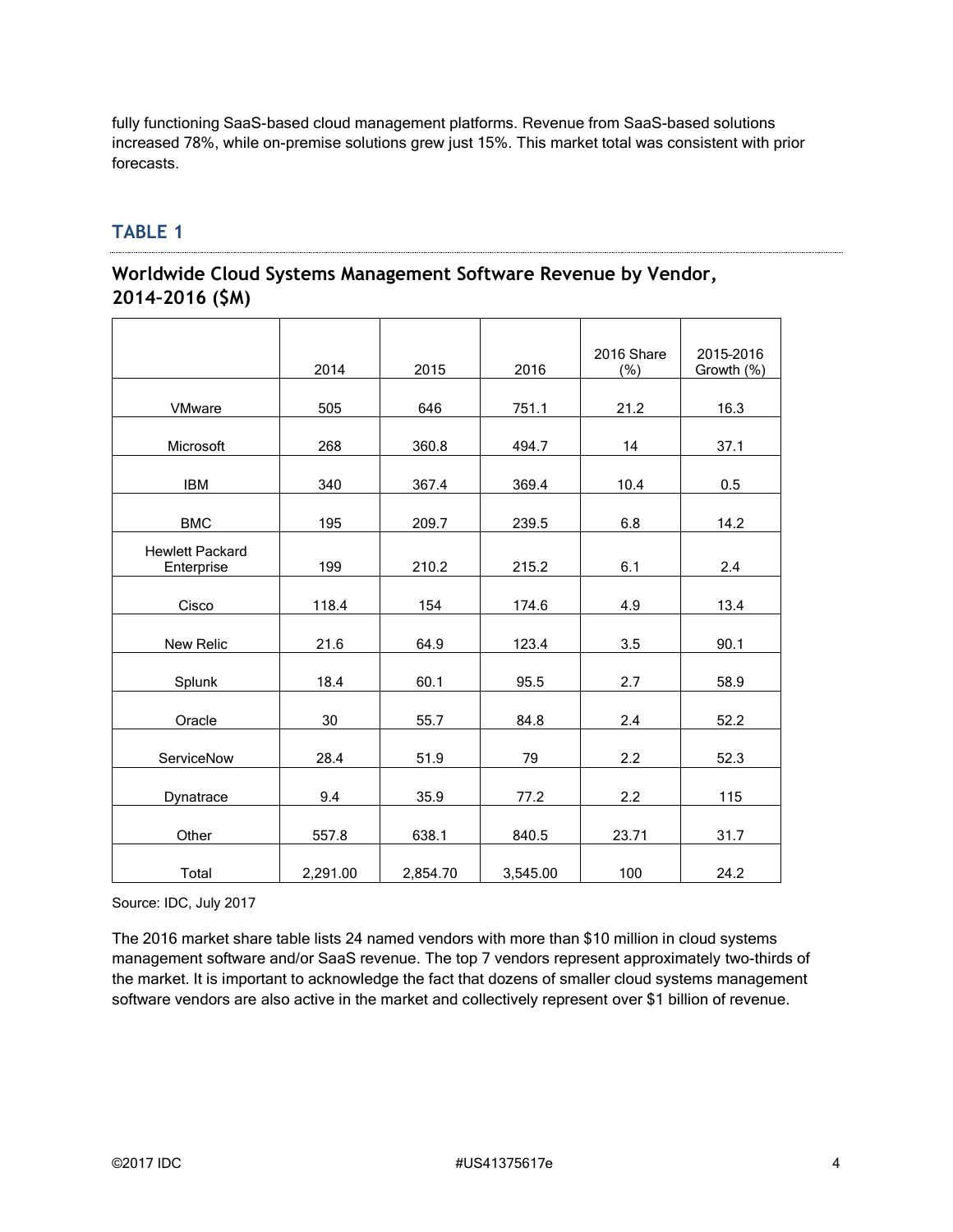fully functioning SaaS-based cloud management platforms. Revenue from SaaS-based solutions increased 78%, while on-premise solutions grew just 15%. This market total was consistent with prior forecasts.

## **TABLE 1**

## **Worldwide Cloud Systems Management Software Revenue by Vendor, 2014–2016 (\$M)**

|                                      | 2014     | 2015     | 2016     | 2016 Share<br>(%) | 2015-2016<br>Growth (%) |
|--------------------------------------|----------|----------|----------|-------------------|-------------------------|
| <b>VMware</b>                        | 505      | 646      | 751.1    | 21.2              | 16.3                    |
| Microsoft                            | 268      | 360.8    | 494.7    | 14                | 37.1                    |
| <b>IBM</b>                           | 340      | 367.4    | 369.4    | 10.4              | 0.5                     |
| <b>BMC</b>                           | 195      | 209.7    | 239.5    | 6.8               | 14.2                    |
| <b>Hewlett Packard</b><br>Enterprise | 199      | 210.2    | 215.2    | 6.1               | 2.4                     |
| Cisco                                | 118.4    | 154      | 174.6    | 4.9               | 13.4                    |
| New Relic                            | 21.6     | 64.9     | 123.4    | 3.5               | 90.1                    |
| Splunk                               | 18.4     | 60.1     | 95.5     | 2.7               | 58.9                    |
| Oracle                               | 30       | 55.7     | 84.8     | 2.4               | 52.2                    |
| ServiceNow                           | 28.4     | 51.9     | 79       | 2.2               | 52.3                    |
| Dynatrace                            | 9.4      | 35.9     | 77.2     | 2.2               | 115                     |
| Other                                | 557.8    | 638.1    | 840.5    | 23.71             | 31.7                    |
| Total                                | 2,291.00 | 2,854.70 | 3,545.00 | 100               | 24.2                    |

Source: IDC, July 2017

The 2016 market share table lists 24 named vendors with more than \$10 million in cloud systems management software and/or SaaS revenue. The top 7 vendors represent approximately two-thirds of the market. It is important to acknowledge the fact that dozens of smaller cloud systems management software vendors are also active in the market and collectively represent over \$1 billion of revenue.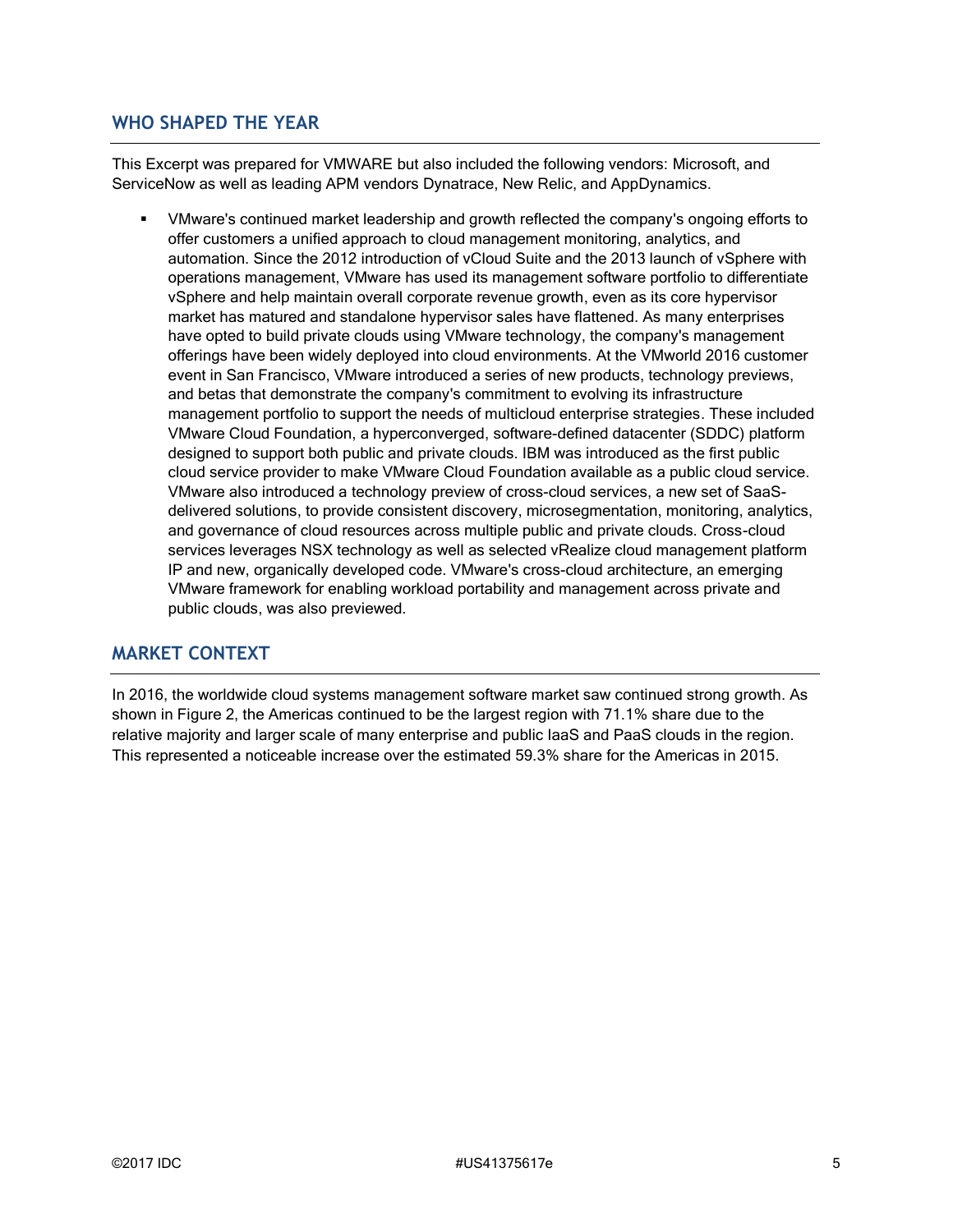#### **WHO SHAPED THE YEAR**

This Excerpt was prepared for VMWARE but also included the following vendors: Microsoft, and ServiceNow as well as leading APM vendors Dynatrace, New Relic, and AppDynamics.

VMware's continued market leadership and growth reflected the company's ongoing efforts to offer customers a unified approach to cloud management monitoring, analytics, and automation. Since the 2012 introduction of vCloud Suite and the 2013 launch of vSphere with operations management, VMware has used its management software portfolio to differentiate vSphere and help maintain overall corporate revenue growth, even as its core hypervisor market has matured and standalone hypervisor sales have flattened. As many enterprises have opted to build private clouds using VMware technology, the company's management offerings have been widely deployed into cloud environments. At the VMworld 2016 customer event in San Francisco, VMware introduced a series of new products, technology previews, and betas that demonstrate the company's commitment to evolving its infrastructure management portfolio to support the needs of multicloud enterprise strategies. These included VMware Cloud Foundation, a hyperconverged, software-defined datacenter (SDDC) platform designed to support both public and private clouds. IBM was introduced as the first public cloud service provider to make VMware Cloud Foundation available as a public cloud service. VMware also introduced a technology preview of cross-cloud services, a new set of SaaSdelivered solutions, to provide consistent discovery, microsegmentation, monitoring, analytics, and governance of cloud resources across multiple public and private clouds. Cross-cloud services leverages NSX technology as well as selected vRealize cloud management platform IP and new, organically developed code. VMware's cross-cloud architecture, an emerging VMware framework for enabling workload portability and management across private and public clouds, was also previewed.

#### **MARKET CONTEXT**

In 2016, the worldwide cloud systems management software market saw continued strong growth. As shown in Figure 2, the Americas continued to be the largest region with 71.1% share due to the relative majority and larger scale of many enterprise and public IaaS and PaaS clouds in the region. This represented a noticeable increase over the estimated 59.3% share for the Americas in 2015.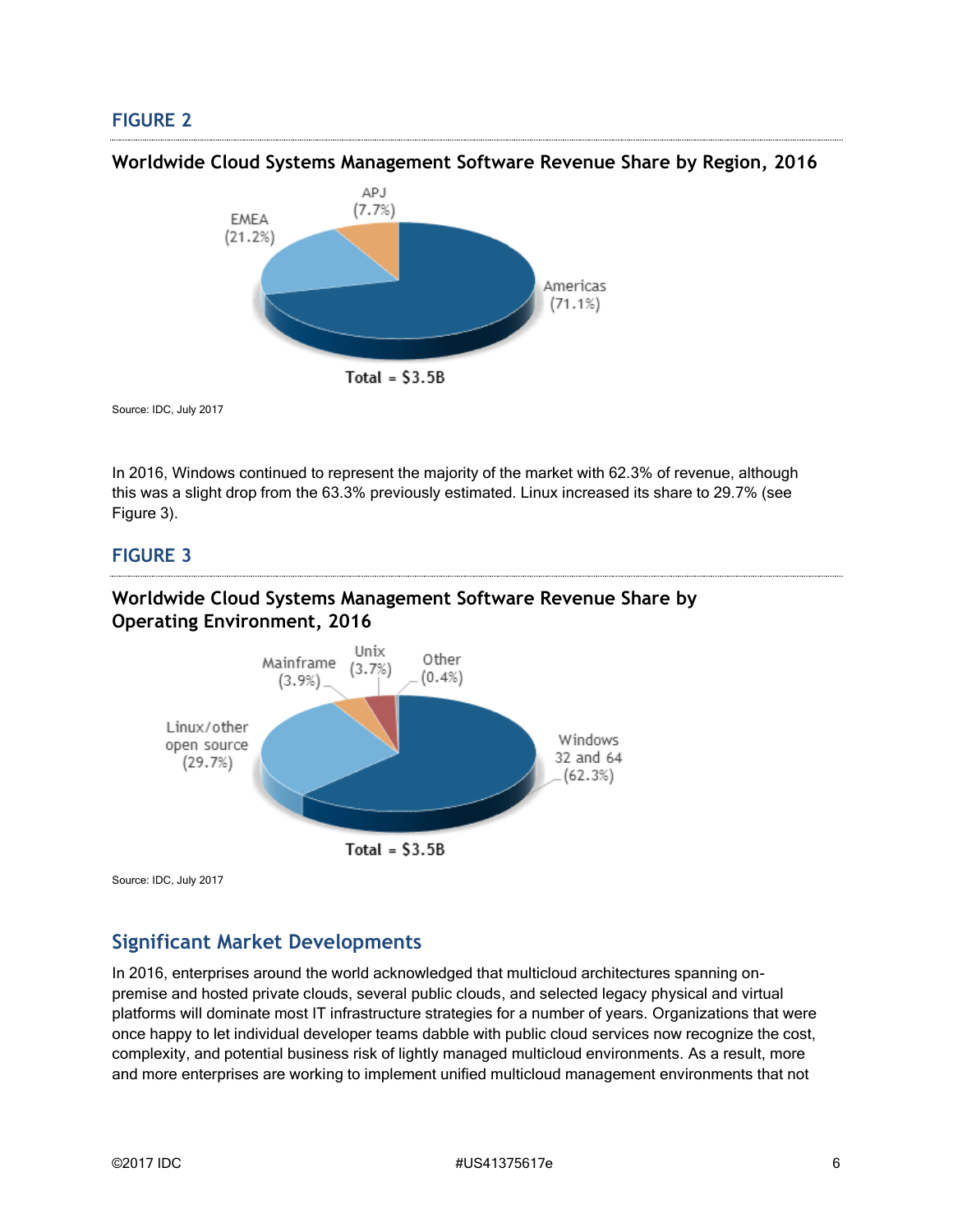### **FIGURE 2**



Source: IDC, July 2017

In 2016, Windows continued to represent the majority of the market with 62.3% of revenue, although this was a slight drop from the 63.3% previously estimated. Linux increased its share to 29.7% (see Figure 3).

#### **FIGURE 3**

#### **Worldwide Cloud Systems Management Software Revenue Share by Operating Environment, 2016**



Source: IDC, July 2017

## **Significant Market Developments**

In 2016, enterprises around the world acknowledged that multicloud architectures spanning onpremise and hosted private clouds, several public clouds, and selected legacy physical and virtual platforms will dominate most IT infrastructure strategies for a number of years. Organizations that were once happy to let individual developer teams dabble with public cloud services now recognize the cost, complexity, and potential business risk of lightly managed multicloud environments. As a result, more and more enterprises are working to implement unified multicloud management environments that not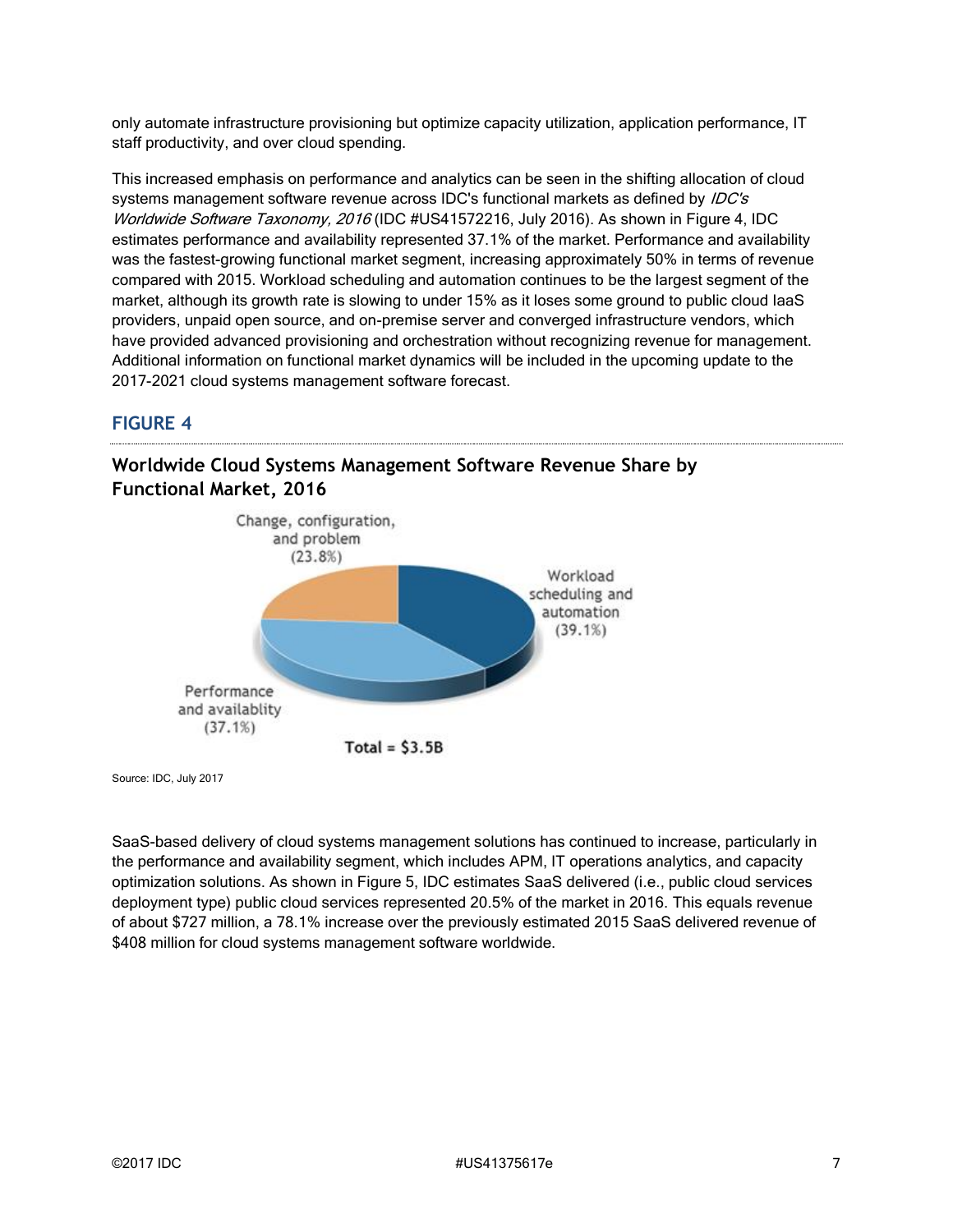only automate infrastructure provisioning but optimize capacity utilization, application performance, IT staff productivity, and over cloud spending.

This increased emphasis on performance and analytics can be seen in the shifting allocation of cloud systems management software revenue across IDC's functional markets as defined by *IDC's* Worldwide Software Taxonomy, 2016 (IDC #US41572216, July 2016). As shown in Figure 4, IDC estimates performance and availability represented 37.1% of the market. Performance and availability was the fastest-growing functional market segment, increasing approximately 50% in terms of revenue compared with 2015. Workload scheduling and automation continues to be the largest segment of the market, although its growth rate is slowing to under 15% as it loses some ground to public cloud IaaS providers, unpaid open source, and on-premise server and converged infrastructure vendors, which have provided advanced provisioning and orchestration without recognizing revenue for management. Additional information on functional market dynamics will be included in the upcoming update to the 2017-2021 cloud systems management software forecast.

## **FIGURE 4**



#### **Worldwide Cloud Systems Management Software Revenue Share by Functional Market, 2016**

Source: IDC, July 2017

SaaS-based delivery of cloud systems management solutions has continued to increase, particularly in the performance and availability segment, which includes APM, IT operations analytics, and capacity optimization solutions. As shown in Figure 5, IDC estimates SaaS delivered (i.e., public cloud services deployment type) public cloud services represented 20.5% of the market in 2016. This equals revenue of about \$727 million, a 78.1% increase over the previously estimated 2015 SaaS delivered revenue of \$408 million for cloud systems management software worldwide.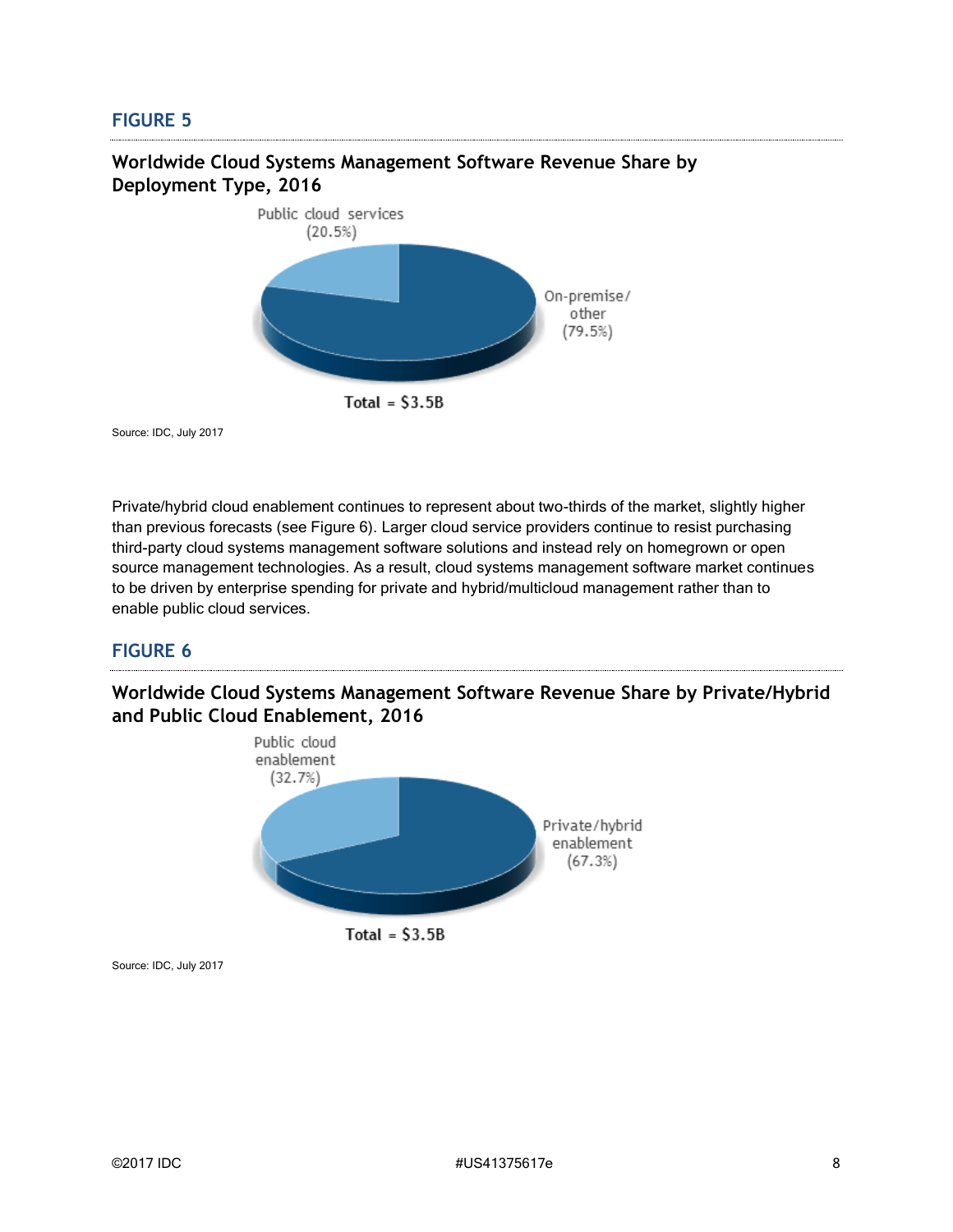#### **FIGURE 5**



**Worldwide Cloud Systems Management Software Revenue Share by Deployment Type, 2016**

Source: IDC, July 2017

Private/hybrid cloud enablement continues to represent about two-thirds of the market, slightly higher than previous forecasts (see Figure 6). Larger cloud service providers continue to resist purchasing third-party cloud systems management software solutions and instead rely on homegrown or open source management technologies. As a result, cloud systems management software market continues to be driven by enterprise spending for private and hybrid/multicloud management rather than to enable public cloud services.

#### **FIGURE 6**

**Worldwide Cloud Systems Management Software Revenue Share by Private/Hybrid and Public Cloud Enablement, 2016**



Source: IDC, July 2017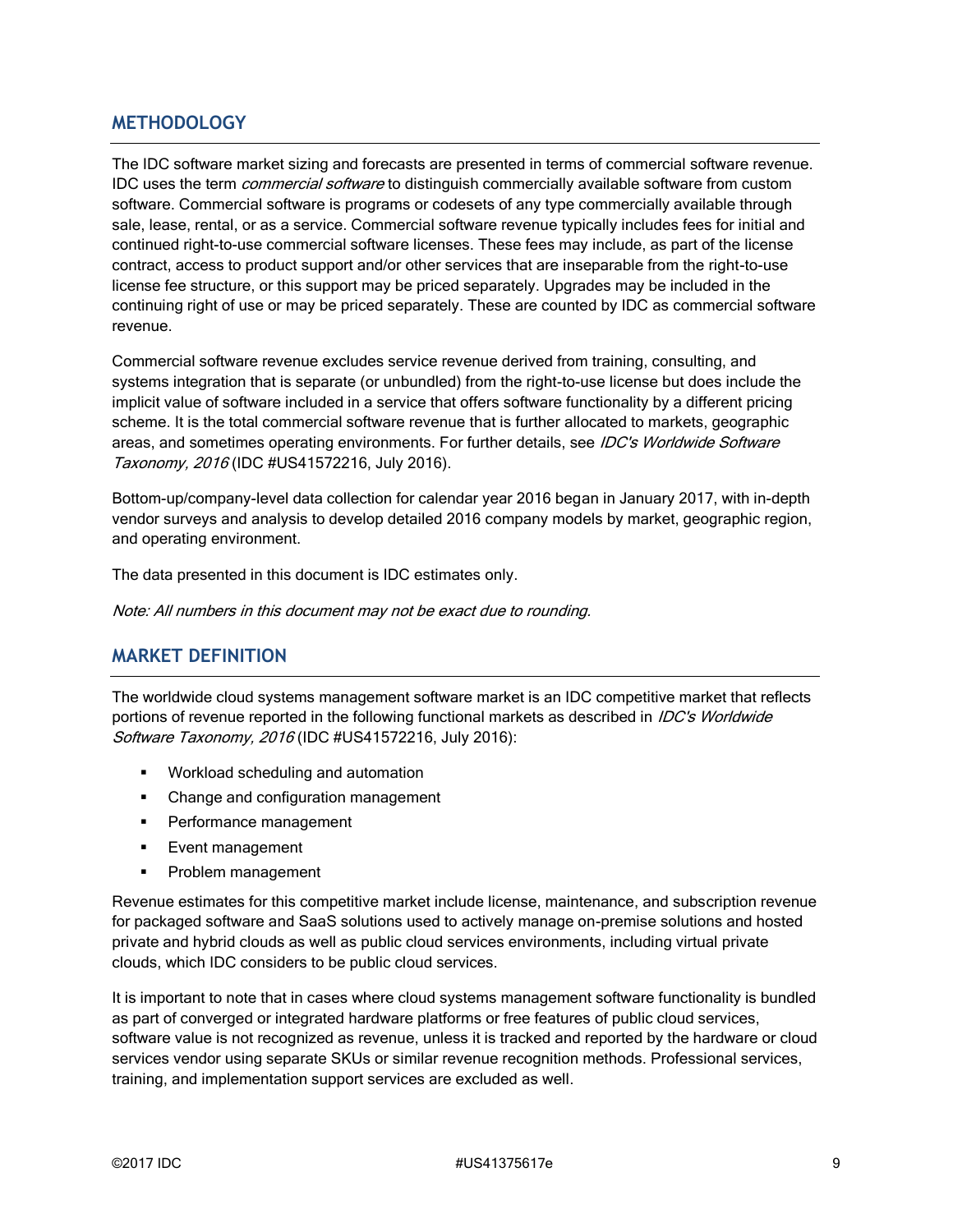### **METHODOLOGY**

The IDC software market sizing and forecasts are presented in terms of commercial software revenue. IDC uses the term *commercial software* to distinguish commercially available software from custom software. Commercial software is programs or codesets of any type commercially available through sale, lease, rental, or as a service. Commercial software revenue typically includes fees for initial and continued right-to-use commercial software licenses. These fees may include, as part of the license contract, access to product support and/or other services that are inseparable from the right-to-use license fee structure, or this support may be priced separately. Upgrades may be included in the continuing right of use or may be priced separately. These are counted by IDC as commercial software revenue.

Commercial software revenue excludes service revenue derived from training, consulting, and systems integration that is separate (or unbundled) from the right-to-use license but does include the implicit value of software included in a service that offers software functionality by a different pricing scheme. It is the total commercial software revenue that is further allocated to markets, geographic areas, and sometimes operating environments. For further details, see IDC's Worldwide Software Taxonomy, 2016 (IDC #US41572216, July 2016).

Bottom-up/company-level data collection for calendar year 2016 began in January 2017, with in-depth vendor surveys and analysis to develop detailed 2016 company models by market, geographic region, and operating environment.

The data presented in this document is IDC estimates only.

Note: All numbers in this document may not be exact due to rounding.

### **MARKET DEFINITION**

The worldwide cloud systems management software market is an IDC competitive market that reflects portions of revenue reported in the following functional markets as described in *IDC's Worldwide* Software Taxonomy, 2016 (IDC #US41572216, July 2016):

- Workload scheduling and automation
- Change and configuration management
- **•** Performance management
- **Event management**
- **•** Problem management

Revenue estimates for this competitive market include license, maintenance, and subscription revenue for packaged software and SaaS solutions used to actively manage on-premise solutions and hosted private and hybrid clouds as well as public cloud services environments, including virtual private clouds, which IDC considers to be public cloud services.

It is important to note that in cases where cloud systems management software functionality is bundled as part of converged or integrated hardware platforms or free features of public cloud services, software value is not recognized as revenue, unless it is tracked and reported by the hardware or cloud services vendor using separate SKUs or similar revenue recognition methods. Professional services, training, and implementation support services are excluded as well.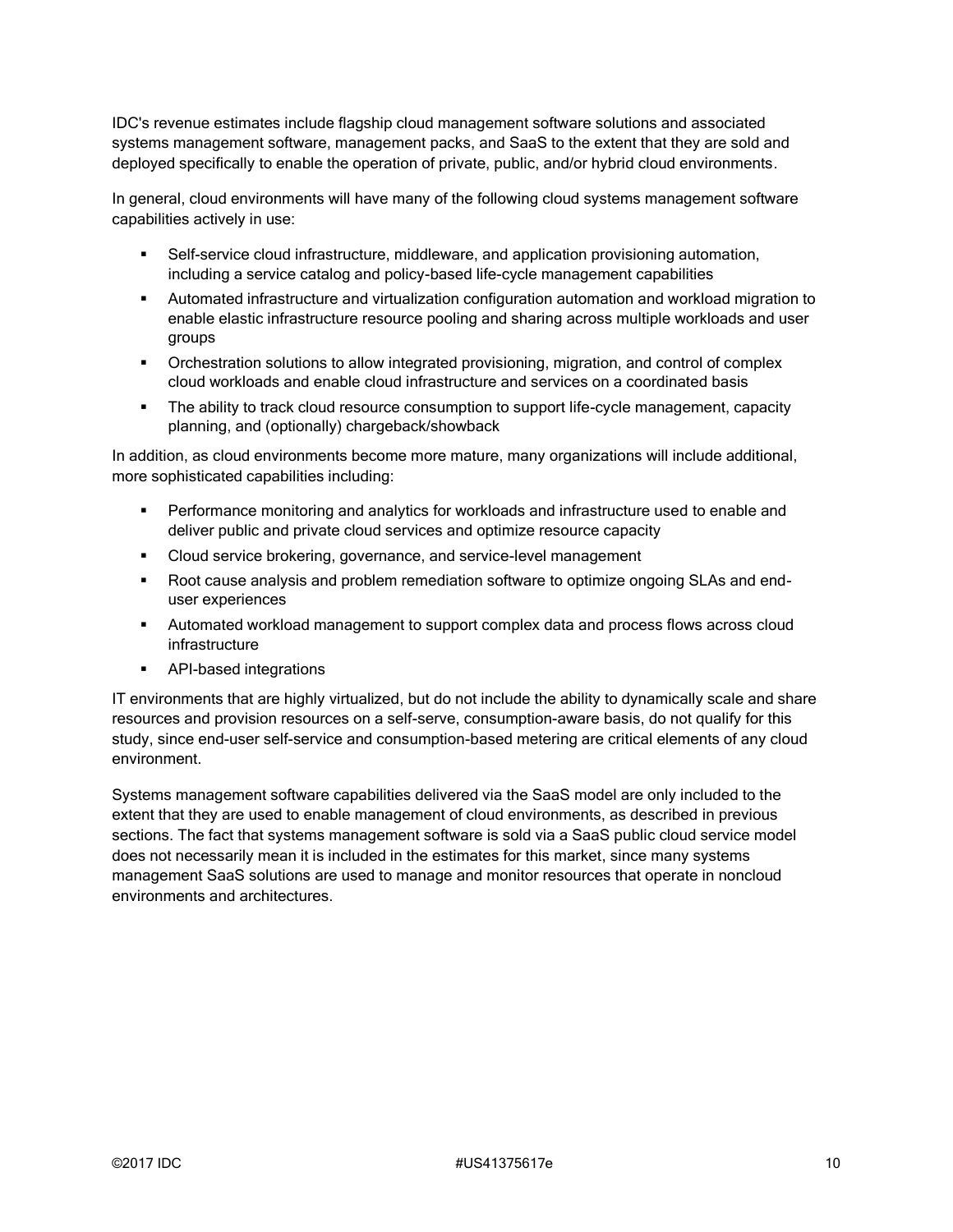IDC's revenue estimates include flagship cloud management software solutions and associated systems management software, management packs, and SaaS to the extent that they are sold and deployed specifically to enable the operation of private, public, and/or hybrid cloud environments.

In general, cloud environments will have many of the following cloud systems management software capabilities actively in use:

- **•** Self-service cloud infrastructure, middleware, and application provisioning automation, including a service catalog and policy-based life-cycle management capabilities
- Automated infrastructure and virtualization configuration automation and workload migration to enable elastic infrastructure resource pooling and sharing across multiple workloads and user groups
- **•** Orchestration solutions to allow integrated provisioning, migration, and control of complex cloud workloads and enable cloud infrastructure and services on a coordinated basis
- **•** The ability to track cloud resource consumption to support life-cycle management, capacity planning, and (optionally) chargeback/showback

In addition, as cloud environments become more mature, many organizations will include additional, more sophisticated capabilities including:

- **•** Performance monitoring and analytics for workloads and infrastructure used to enable and deliver public and private cloud services and optimize resource capacity
- **EXEC** Cloud service brokering, governance, and service-level management
- Root cause analysis and problem remediation software to optimize ongoing SLAs and enduser experiences
- **EXECT** Automated workload management to support complex data and process flows across cloud infrastructure
- API-based integrations

IT environments that are highly virtualized, but do not include the ability to dynamically scale and share resources and provision resources on a self-serve, consumption-aware basis, do not qualify for this study, since end-user self-service and consumption-based metering are critical elements of any cloud environment.

Systems management software capabilities delivered via the SaaS model are only included to the extent that they are used to enable management of cloud environments, as described in previous sections. The fact that systems management software is sold via a SaaS public cloud service model does not necessarily mean it is included in the estimates for this market, since many systems management SaaS solutions are used to manage and monitor resources that operate in noncloud environments and architectures.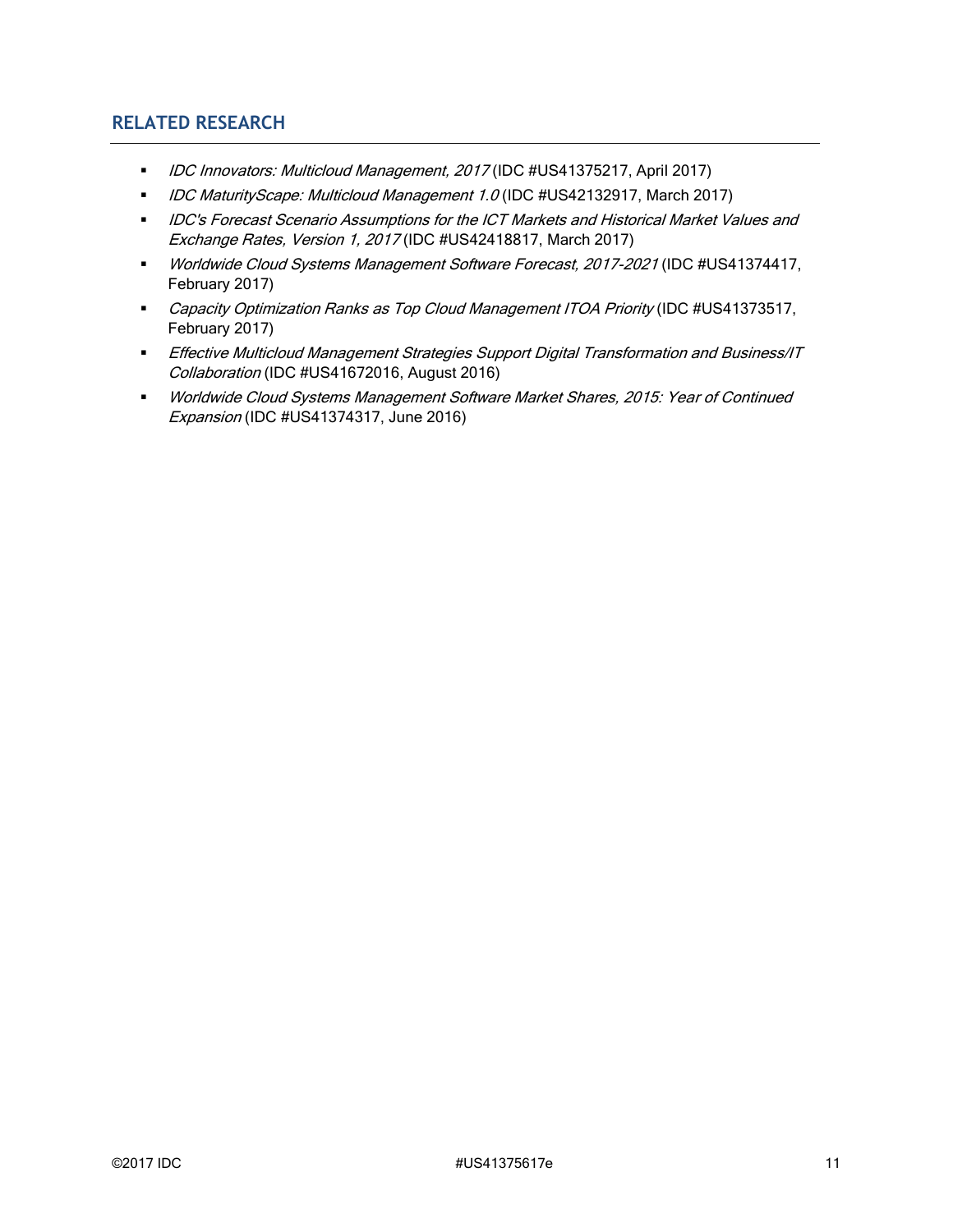### **RELATED RESEARCH**

- *IDC Innovators: Multicloud Management, 2017* (IDC #US41375217, April 2017)
- *IDC MaturityScape: Multicloud Management 1.0* (IDC #US42132917, March 2017)
- IDC's Forecast Scenario Assumptions for the ICT Markets and Historical Market Values and Exchange Rates, Version 1, 2017 (IDC #US42418817, March 2017)
- Worldwide Cloud Systems Management Software Forecast, 2017-2021 (IDC #US41374417, February 2017)
- Capacity Optimization Ranks as Top Cloud Management ITOA Priority (IDC #US41373517, February 2017)
- **Effective Multicloud Management Strategies Support Digital Transformation and Business/IT** Collaboration (IDC #US41672016, August 2016)
- Worldwide Cloud Systems Management Software Market Shares, 2015: Year of Continued Expansion (IDC #US41374317, June 2016)